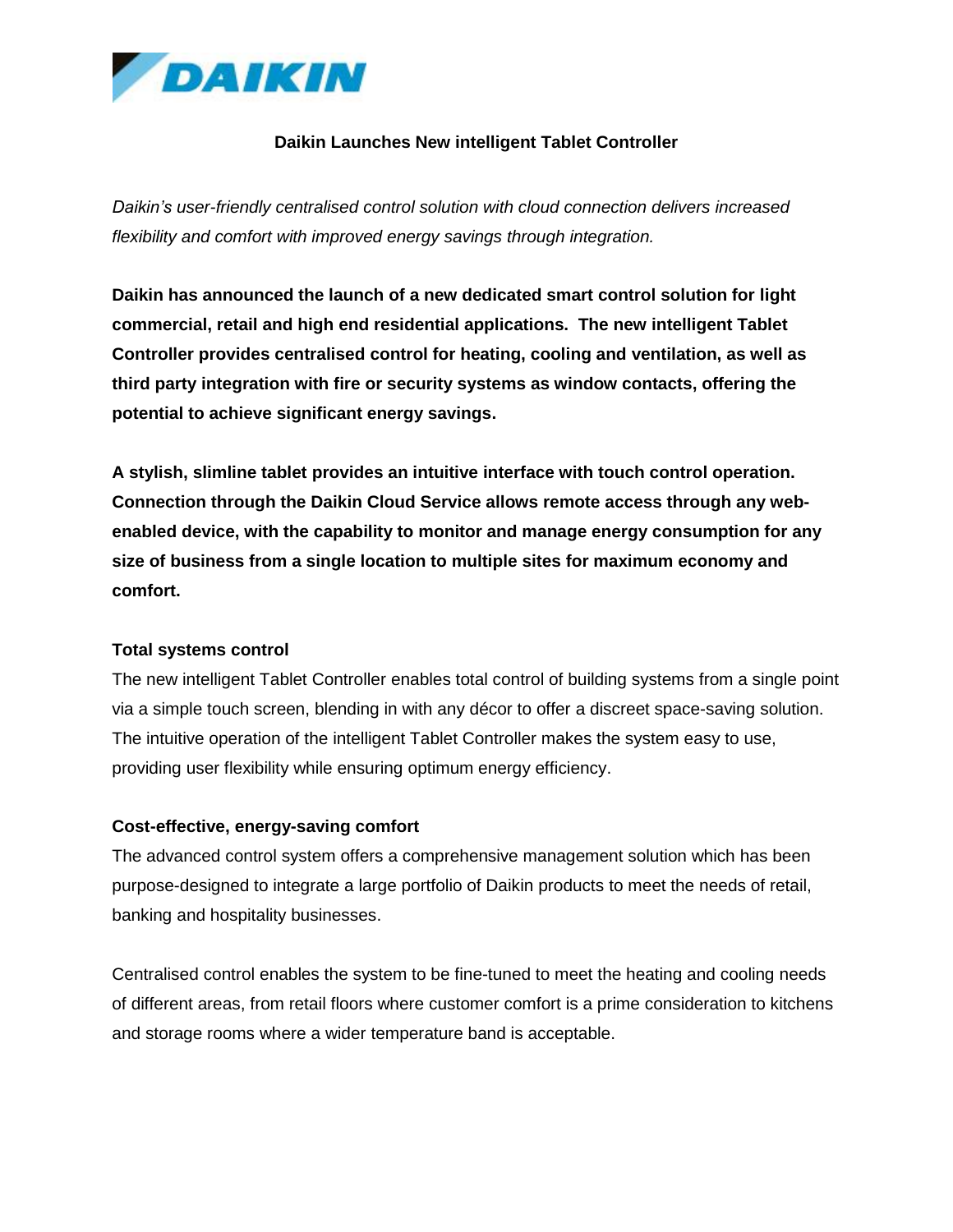

# **Daikin Launches New intelligent Tablet Controller**

*Daikin's user-friendly centralised control solution with cloud connection delivers increased flexibility and comfort with improved energy savings through integration.*

**Daikin has announced the launch of a new dedicated smart control solution for light commercial, retail and high end residential applications. The new intelligent Tablet Controller provides centralised control for heating, cooling and ventilation, as well as third party integration with fire or security systems as window contacts, offering the potential to achieve significant energy savings.**

**A stylish, slimline tablet provides an intuitive interface with touch control operation. Connection through the Daikin Cloud Service allows remote access through any webenabled device, with the capability to monitor and manage energy consumption for any size of business from a single location to multiple sites for maximum economy and comfort.**

### **Total systems control**

The new intelligent Tablet Controller enables total control of building systems from a single point via a simple touch screen, blending in with any décor to offer a discreet space-saving solution. The intuitive operation of the intelligent Tablet Controller makes the system easy to use, providing user flexibility while ensuring optimum energy efficiency.

### **Cost-effective, energy-saving comfort**

The advanced control system offers a comprehensive management solution which has been purpose-designed to integrate a large portfolio of Daikin products to meet the needs of retail, banking and hospitality businesses.

Centralised control enables the system to be fine-tuned to meet the heating and cooling needs of different areas, from retail floors where customer comfort is a prime consideration to kitchens and storage rooms where a wider temperature band is acceptable.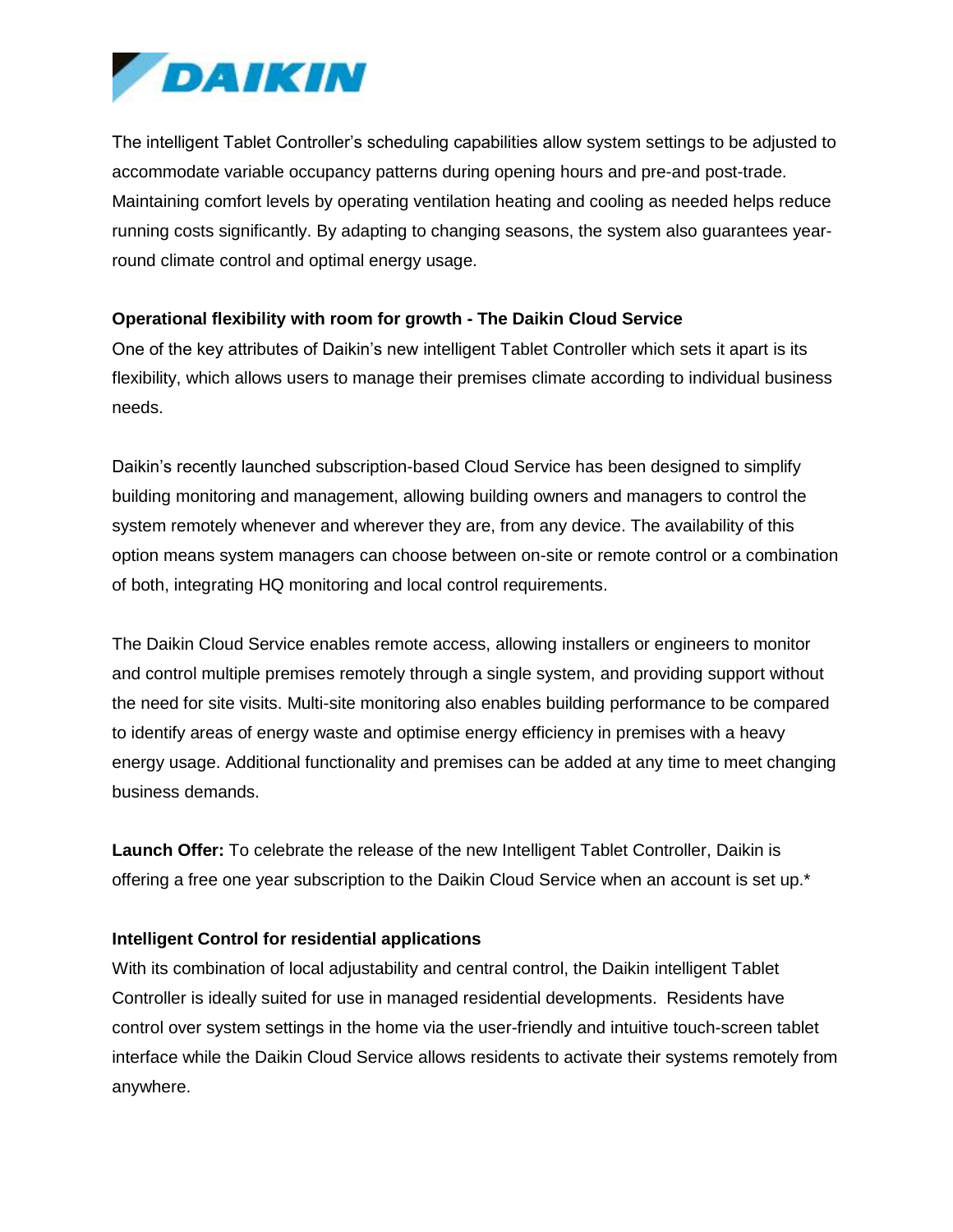

The intelligent Tablet Controller's scheduling capabilities allow system settings to be adjusted to accommodate variable occupancy patterns during opening hours and pre-and post-trade. Maintaining comfort levels by operating ventilation heating and cooling as needed helps reduce running costs significantly. By adapting to changing seasons, the system also guarantees yearround climate control and optimal energy usage.

# **Operational flexibility with room for growth - The Daikin Cloud Service**

One of the key attributes of Daikin's new intelligent Tablet Controller which sets it apart is its flexibility, which allows users to manage their premises climate according to individual business needs.

Daikin's recently launched subscription-based Cloud Service has been designed to simplify building monitoring and management, allowing building owners and managers to control the system remotely whenever and wherever they are, from any device. The availability of this option means system managers can choose between on-site or remote control or a combination of both, integrating HQ monitoring and local control requirements.

The Daikin Cloud Service enables remote access, allowing installers or engineers to monitor and control multiple premises remotely through a single system, and providing support without the need for site visits. Multi-site monitoring also enables building performance to be compared to identify areas of energy waste and optimise energy efficiency in premises with a heavy energy usage. Additional functionality and premises can be added at any time to meet changing business demands.

**Launch Offer:** To celebrate the release of the new Intelligent Tablet Controller, Daikin is offering a free one year subscription to the Daikin Cloud Service when an account is set up.\*

### **Intelligent Control for residential applications**

With its combination of local adjustability and central control, the Daikin intelligent Tablet Controller is ideally suited for use in managed residential developments. Residents have control over system settings in the home via the user-friendly and intuitive touch-screen tablet interface while the Daikin Cloud Service allows residents to activate their systems remotely from anywhere.